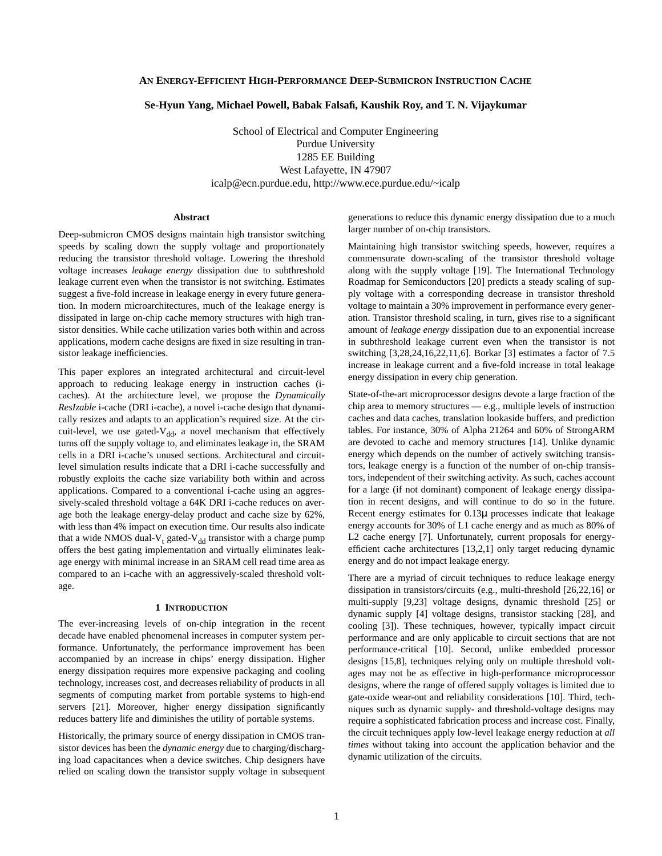## **AN ENERGY-EFFICIENT HIGH-PERFORMANCE DEEP-SUBMICRON INSTRUCTION CACHE**

## **Se-Hyun Yang, Michael Powell, Babak Falsafi, Kaushik Roy, and T. N. Vijaykumar**

School of Electrical and Computer Engineering Purdue University 1285 EE Building West Lafayette, IN 47907 icalp@ecn.purdue.edu, http://www.ece.purdue.edu/~icalp

## **Abstract**

Deep-submicron CMOS designs maintain high transistor switching speeds by scaling down the supply voltage and proportionately reducing the transistor threshold voltage. Lowering the threshold voltage increases *leakage energy* dissipation due to subthreshold leakage current even when the transistor is not switching. Estimates suggest a five-fold increase in leakage energy in every future generation. In modern microarchitectures, much of the leakage energy is dissipated in large on-chip cache memory structures with high transistor densities. While cache utilization varies both within and across applications, modern cache designs are fixed in size resulting in transistor leakage inefficiencies.

This paper explores an integrated architectural and circuit-level approach to reducing leakage energy in instruction caches (icaches). At the architecture level, we propose the *Dynamically ResIzable* i-cache (DRI i-cache), a novel i-cache design that dynamically resizes and adapts to an application's required size. At the circuit-level, we use gated- $V_{dd}$ , a novel mechanism that effectively turns off the supply voltage to, and eliminates leakage in, the SRAM cells in a DRI i-cache's unused sections. Architectural and circuitlevel simulation results indicate that a DRI i-cache successfully and robustly exploits the cache size variability both within and across applications. Compared to a conventional i-cache using an aggressively-scaled threshold voltage a 64K DRI i-cache reduces on average both the leakage energy-delay product and cache size by 62%, with less than 4% impact on execution time. Our results also indicate that a wide NMOS dual- $V_t$  gated- $V_{dd}$  transistor with a charge pump offers the best gating implementation and virtually eliminates leakage energy with minimal increase in an SRAM cell read time area as compared to an i-cache with an aggressively-scaled threshold voltage.

## **1 INTRODUCTION**

The ever-increasing levels of on-chip integration in the recent decade have enabled phenomenal increases in computer system performance. Unfortunately, the performance improvement has been accompanied by an increase in chips' energy dissipation. Higher energy dissipation requires more expensive packaging and cooling technology, increases cost, and decreases reliability of products in all segments of computing market from portable systems to high-end servers [21]. Moreover, higher energy dissipation significantly reduces battery life and diminishes the utility of portable systems.

Historically, the primary source of energy dissipation in CMOS transistor devices has been the *dynamic energy* due to charging/discharging load capacitances when a device switches. Chip designers have relied on scaling down the transistor supply voltage in subsequent generations to reduce this dynamic energy dissipation due to a much larger number of on-chip transistors.

Maintaining high transistor switching speeds, however, requires a commensurate down-scaling of the transistor threshold voltage along with the supply voltage [19]. The International Technology Roadmap for Semiconductors [20] predicts a steady scaling of supply voltage with a corresponding decrease in transistor threshold voltage to maintain a 30% improvement in performance every generation. Transistor threshold scaling, in turn, gives rise to a significant amount of *leakage energy* dissipation due to an exponential increase in subthreshold leakage current even when the transistor is not switching [3,28,24,16,22,11,6]. Borkar [3] estimates a factor of 7.5 increase in leakage current and a five-fold increase in total leakage energy dissipation in every chip generation.

State-of-the-art microprocessor designs devote a large fraction of the chip area to memory structures — e.g., multiple levels of instruction caches and data caches, translation lookaside buffers, and prediction tables. For instance, 30% of Alpha 21264 and 60% of StrongARM are devoted to cache and memory structures [14]. Unlike dynamic energy which depends on the number of actively switching transistors, leakage energy is a function of the number of on-chip transistors, independent of their switching activity. As such, caches account for a large (if not dominant) component of leakage energy dissipation in recent designs, and will continue to do so in the future. Recent energy estimates for 0.13µ processes indicate that leakage energy accounts for 30% of L1 cache energy and as much as 80% of L2 cache energy [7]. Unfortunately, current proposals for energyefficient cache architectures [13,2,1] only target reducing dynamic energy and do not impact leakage energy.

There are a myriad of circuit techniques to reduce leakage energy dissipation in transistors/circuits (e.g., multi-threshold [26,22,16] or multi-supply [9,23] voltage designs, dynamic threshold [25] or dynamic supply [4] voltage designs, transistor stacking [28], and cooling [3]). These techniques, however, typically impact circuit performance and are only applicable to circuit sections that are not performance-critical [10]. Second, unlike embedded processor designs [15,8], techniques relying only on multiple threshold voltages may not be as effective in high-performance microprocessor designs, where the range of offered supply voltages is limited due to gate-oxide wear-out and reliability considerations [10]. Third, techniques such as dynamic supply- and threshold-voltage designs may require a sophisticated fabrication process and increase cost. Finally, the circuit techniques apply low-level leakage energy reduction at *all times* without taking into account the application behavior and the dynamic utilization of the circuits.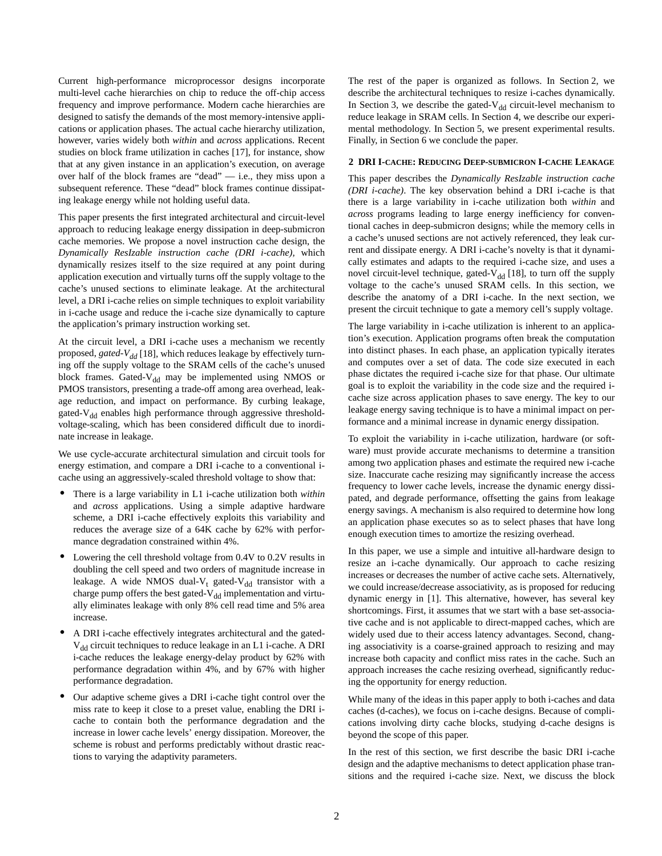Current high-performance microprocessor designs incorporate multi-level cache hierarchies on chip to reduce the off-chip access frequency and improve performance. Modern cache hierarchies are designed to satisfy the demands of the most memory-intensive applications or application phases. The actual cache hierarchy utilization, however, varies widely both *within* and *across* applications. Recent studies on block frame utilization in caches [17], for instance, show that at any given instance in an application's execution, on average over half of the block frames are "dead" — i.e., they miss upon a subsequent reference. These "dead" block frames continue dissipating leakage energy while not holding useful data.

This paper presents the first integrated architectural and circuit-level approach to reducing leakage energy dissipation in deep-submicron cache memories. We propose a novel instruction cache design, the *Dynamically ResIzable instruction cache (DRI i-cache),* which dynamically resizes itself to the size required at any point during application execution and virtually turns off the supply voltage to the cache's unused sections to eliminate leakage. At the architectural level, a DRI i-cache relies on simple techniques to exploit variability in i-cache usage and reduce the i-cache size dynamically to capture the application's primary instruction working set.

At the circuit level, a DRI i-cache uses a mechanism we recently proposed, *gated-V<sub>dd</sub>* [18], which reduces leakage by effectively turning off the supply voltage to the SRAM cells of the cache's unused block frames. Gated- $V_{dd}$  may be implemented using NMOS or PMOS transistors, presenting a trade-off among area overhead, leakage reduction, and impact on performance. By curbing leakage, gated- $V_{dd}$  enables high performance through aggressive thresholdvoltage-scaling, which has been considered difficult due to inordinate increase in leakage.

We use cycle-accurate architectural simulation and circuit tools for energy estimation, and compare a DRI i-cache to a conventional icache using an aggressively-scaled threshold voltage to show that:

- **•** There is a large variability in L1 i-cache utilization both *within* and *across* applications. Using a simple adaptive hardware scheme, a DRI i-cache effectively exploits this variability and reduces the average size of a 64K cache by 62% with performance degradation constrained within 4%.
- **•** Lowering the cell threshold voltage from 0.4V to 0.2V results in doubling the cell speed and two orders of magnitude increase in leakage. A wide NMOS dual- $V_t$  gated- $V_{dd}$  transistor with a charge pump offers the best gated- $V_{dd}$  implementation and virtually eliminates leakage with only 8% cell read time and 5% area increase.
- **•** A DRI i-cache effectively integrates architectural and the gated-V<sub>dd</sub> circuit techniques to reduce leakage in an L1 i-cache. A DRI i-cache reduces the leakage energy-delay product by 62% with performance degradation within 4%, and by 67% with higher performance degradation.
- **•** Our adaptive scheme gives a DRI i-cache tight control over the miss rate to keep it close to a preset value, enabling the DRI icache to contain both the performance degradation and the increase in lower cache levels' energy dissipation. Moreover, the scheme is robust and performs predictably without drastic reactions to varying the adaptivity parameters.

The rest of the paper is organized as follows. In [Section 2,](#page-1-0) we describe the architectural techniques to resize i-caches dynamically. In [Section 3](#page-4-0), we describe the gated- $V_{dd}$  circuit-level mechanism to reduce leakage in SRAM cells. In [Section 4,](#page-5-0) we describe our experimental methodology. In [Section 5,](#page-5-1) we present experimental results. Finally, in [Section 6](#page-10-0) we conclude the paper.

#### <span id="page-1-0"></span>**2 DRI I-CACHE: REDUCING DEEP-SUBMICRON I-CACHE LEAKAGE**

This paper describes the *Dynamically ResIzable instruction cache (DRI i-cache)*. The key observation behind a DRI i-cache is that there is a large variability in i-cache utilization both *within* and *across* programs leading to large energy inefficiency for conventional caches in deep-submicron designs; while the memory cells in a cache's unused sections are not actively referenced, they leak current and dissipate energy. A DRI i-cache's novelty is that it dynamically estimates and adapts to the required i-cache size, and uses a novel circuit-level technique, gated-V<sub>dd</sub> [18], to turn off the supply voltage to the cache's unused SRAM cells. In this section, we describe the anatomy of a DRI i-cache. In the next section, we present the circuit technique to gate a memory cell's supply voltage.

The large variability in i-cache utilization is inherent to an application's execution. Application programs often break the computation into distinct phases. In each phase, an application typically iterates and computes over a set of data. The code size executed in each phase dictates the required i-cache size for that phase. Our ultimate goal is to exploit the variability in the code size and the required icache size across application phases to save energy. The key to our leakage energy saving technique is to have a minimal impact on performance and a minimal increase in dynamic energy dissipation.

To exploit the variability in i-cache utilization, hardware (or software) must provide accurate mechanisms to determine a transition among two application phases and estimate the required new i-cache size. Inaccurate cache resizing may significantly increase the access frequency to lower cache levels, increase the dynamic energy dissipated, and degrade performance, offsetting the gains from leakage energy savings. A mechanism is also required to determine how long an application phase executes so as to select phases that have long enough execution times to amortize the resizing overhead.

In this paper, we use a simple and intuitive all-hardware design to resize an i-cache dynamically. Our approach to cache resizing increases or decreases the number of active cache sets. Alternatively, we could increase/decrease associativity, as is proposed for reducing dynamic energy in [1]. This alternative, however, has several key shortcomings. First, it assumes that we start with a base set-associative cache and is not applicable to direct-mapped caches, which are widely used due to their access latency advantages. Second, changing associativity is a coarse-grained approach to resizing and may increase both capacity and conflict miss rates in the cache. Such an approach increases the cache resizing overhead, significantly reducing the opportunity for energy reduction.

While many of the ideas in this paper apply to both i-caches and data caches (d-caches), we focus on i-cache designs. Because of complications involving dirty cache blocks, studying d-cache designs is beyond the scope of this paper.

In the rest of this section, we first describe the basic DRI i-cache design and the adaptive mechanisms to detect application phase transitions and the required i-cache size. Next, we discuss the block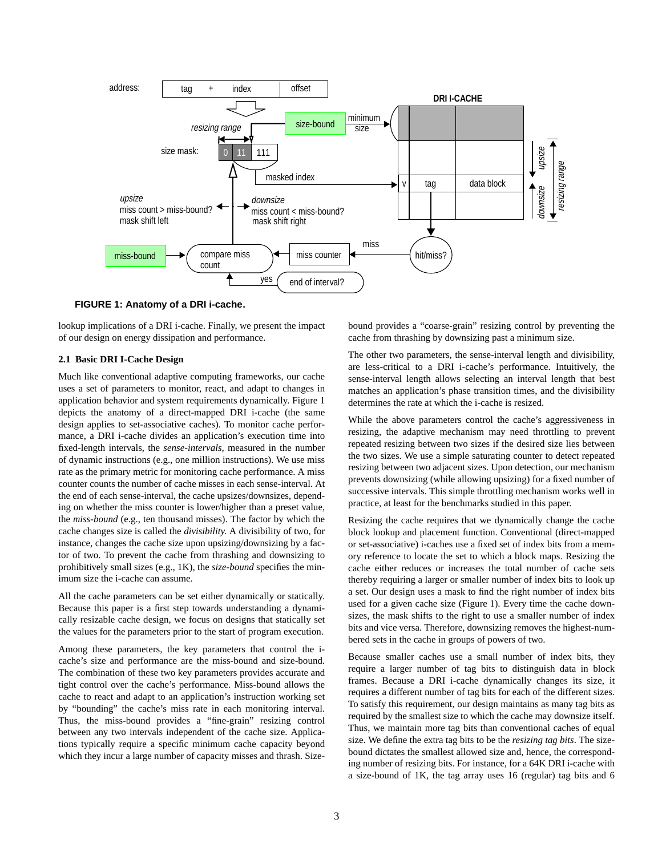

<span id="page-2-0"></span>**FIGURE 1: Anatomy of a DRI i-cache.**

lookup implications of a DRI i-cache. Finally, we present the impact of our design on energy dissipation and performance.

## <span id="page-2-1"></span>**2.1 Basic DRI I-Cache Design**

Much like conventional adaptive computing frameworks, our cache uses a set of parameters to monitor, react, and adapt to changes in application behavior and system requirements dynamically. [Figure 1](#page-2-0) depicts the anatomy of a direct-mapped DRI i-cache (the same design applies to set-associative caches). To monitor cache performance, a DRI i-cache divides an application's execution time into fixed-length intervals, the *sense-intervals,* measured in the number of dynamic instructions (e.g., one million instructions). We use miss rate as the primary metric for monitoring cache performance. A miss counter counts the number of cache misses in each sense-interval. At the end of each sense-interval, the cache upsizes/downsizes, depending on whether the miss counter is lower/higher than a preset value, the *miss-bound* (e.g., ten thousand misses). The factor by which the cache changes size is called the *divisibility*. A divisibility of two, for instance, changes the cache size upon upsizing/downsizing by a factor of two. To prevent the cache from thrashing and downsizing to prohibitively small sizes (e.g., 1K), the *size-bound* specifies the minimum size the i-cache can assume.

All the cache parameters can be set either dynamically or statically. Because this paper is a first step towards understanding a dynamically resizable cache design, we focus on designs that statically set the values for the parameters prior to the start of program execution.

Among these parameters, the key parameters that control the icache's size and performance are the miss-bound and size-bound. The combination of these two key parameters provides accurate and tight control over the cache's performance. Miss-bound allows the cache to react and adapt to an application's instruction working set by "bounding" the cache's miss rate in each monitoring interval. Thus, the miss-bound provides a "fine-grain" resizing control between any two intervals independent of the cache size. Applications typically require a specific minimum cache capacity beyond which they incur a large number of capacity misses and thrash. Sizebound provides a "coarse-grain" resizing control by preventing the cache from thrashing by downsizing past a minimum size.

The other two parameters, the sense-interval length and divisibility, are less-critical to a DRI i-cache's performance. Intuitively, the sense-interval length allows selecting an interval length that best matches an application's phase transition times, and the divisibility determines the rate at which the i-cache is resized.

While the above parameters control the cache's aggressiveness in resizing, the adaptive mechanism may need throttling to prevent repeated resizing between two sizes if the desired size lies between the two sizes. We use a simple saturating counter to detect repeated resizing between two adjacent sizes. Upon detection, our mechanism prevents downsizing (while allowing upsizing) for a fixed number of successive intervals. This simple throttling mechanism works well in practice, at least for the benchmarks studied in this paper.

Resizing the cache requires that we dynamically change the cache block lookup and placement function. Conventional (direct-mapped or set-associative) i-caches use a fixed set of index bits from a memory reference to locate the set to which a block maps. Resizing the cache either reduces or increases the total number of cache sets thereby requiring a larger or smaller number of index bits to look up a set. Our design uses a mask to find the right number of index bits used for a given cache size [\(Figure 1\)](#page-2-0). Every time the cache downsizes, the mask shifts to the right to use a smaller number of index bits and vice versa. Therefore, downsizing removes the highest-numbered sets in the cache in groups of powers of two.

Because smaller caches use a small number of index bits, they require a larger number of tag bits to distinguish data in block frames. Because a DRI i-cache dynamically changes its size, it requires a different number of tag bits for each of the different sizes. To satisfy this requirement, our design maintains as many tag bits as required by the smallest size to which the cache may downsize itself. Thus, we maintain more tag bits than conventional caches of equal size. We define the extra tag bits to be the *resizing tag bits*. The sizebound dictates the smallest allowed size and, hence, the corresponding number of resizing bits. For instance, for a 64K DRI i-cache with a size-bound of 1K, the tag array uses 16 (regular) tag bits and 6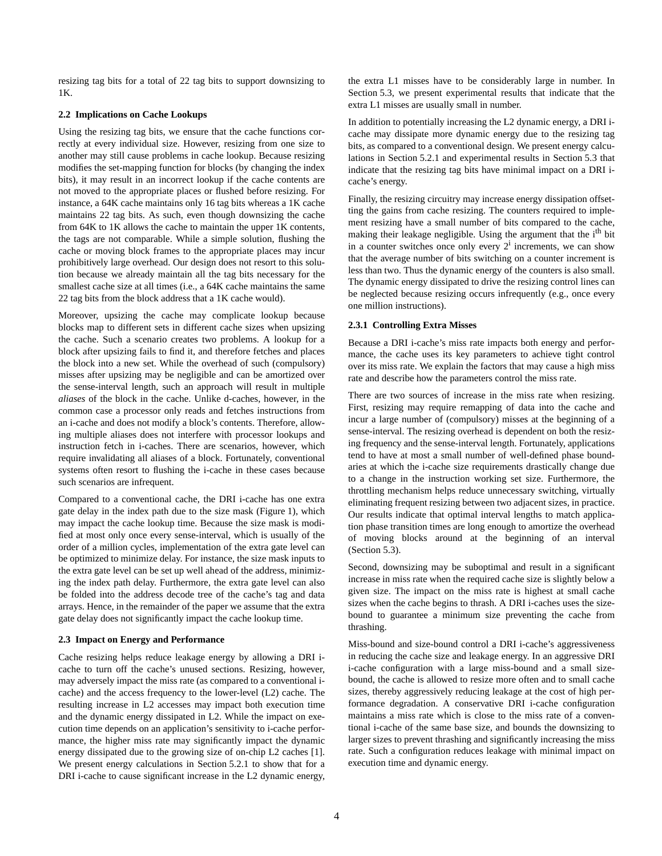resizing tag bits for a total of 22 tag bits to support downsizing to 1K.

## **2.2 Implications on Cache Lookups**

Using the resizing tag bits, we ensure that the cache functions correctly at every individual size. However, resizing from one size to another may still cause problems in cache lookup. Because resizing modifies the set-mapping function for blocks (by changing the index bits), it may result in an incorrect lookup if the cache contents are not moved to the appropriate places or flushed before resizing. For instance, a 64K cache maintains only 16 tag bits whereas a 1K cache maintains 22 tag bits. As such, even though downsizing the cache from 64K to 1K allows the cache to maintain the upper 1K contents, the tags are not comparable. While a simple solution, flushing the cache or moving block frames to the appropriate places may incur prohibitively large overhead. Our design does not resort to this solution because we already maintain all the tag bits necessary for the smallest cache size at all times (i.e., a 64K cache maintains the same 22 tag bits from the block address that a 1K cache would).

Moreover, upsizing the cache may complicate lookup because blocks map to different sets in different cache sizes when upsizing the cache. Such a scenario creates two problems. A lookup for a block after upsizing fails to find it, and therefore fetches and places the block into a new set. While the overhead of such (compulsory) misses after upsizing may be negligible and can be amortized over the sense-interval length, such an approach will result in multiple *aliases* of the block in the cache. Unlike d-caches, however, in the common case a processor only reads and fetches instructions from an i-cache and does not modify a block's contents. Therefore, allowing multiple aliases does not interfere with processor lookups and instruction fetch in i-caches. There are scenarios, however, which require invalidating all aliases of a block. Fortunately, conventional systems often resort to flushing the i-cache in these cases because such scenarios are infrequent.

Compared to a conventional cache, the DRI i-cache has one extra gate delay in the index path due to the size mask [\(Figure 1](#page-2-0)), which may impact the cache lookup time. Because the size mask is modified at most only once every sense-interval, which is usually of the order of a million cycles, implementation of the extra gate level can be optimized to minimize delay. For instance, the size mask inputs to the extra gate level can be set up well ahead of the address, minimizing the index path delay. Furthermore, the extra gate level can also be folded into the address decode tree of the cache's tag and data arrays. Hence, in the remainder of the paper we assume that the extra gate delay does not significantly impact the cache lookup time.

#### <span id="page-3-0"></span>**2.3 Impact on Energy and Performance**

Cache resizing helps reduce leakage energy by allowing a DRI icache to turn off the cache's unused sections. Resizing, however, may adversely impact the miss rate (as compared to a conventional icache) and the access frequency to the lower-level (L2) cache. The resulting increase in L2 accesses may impact both execution time and the dynamic energy dissipated in L2. While the impact on execution time depends on an application's sensitivity to i-cache performance, the higher miss rate may significantly impact the dynamic energy dissipated due to the growing size of on-chip L2 caches [1]. We present energy calculations in [Section 5.2.1](#page-7-0) to show that for a DRI i-cache to cause significant increase in the L2 dynamic energy,

the extra L1 misses have to be considerably large in number. In [Section 5.3,](#page-7-1) we present experimental results that indicate that the extra L1 misses are usually small in number.

In addition to potentially increasing the L2 dynamic energy, a DRI icache may dissipate more dynamic energy due to the resizing tag bits, as compared to a conventional design. We present energy calculations in [Section 5.2.1](#page-7-0) and experimental results in [Section 5.3](#page-7-1) that indicate that the resizing tag bits have minimal impact on a DRI icache's energy.

Finally, the resizing circuitry may increase energy dissipation offsetting the gains from cache resizing. The counters required to implement resizing have a small number of bits compared to the cache, making their leakage negligible. Using the argument that the i<sup>th</sup> bit in a counter switches once only every  $2^i$  increments, we can show that the average number of bits switching on a counter increment is less than two. Thus the dynamic energy of the counters is also small. The dynamic energy dissipated to drive the resizing control lines can be neglected because resizing occurs infrequently (e.g., once every one million instructions).

### **2.3.1 Controlling Extra Misses**

Because a DRI i-cache's miss rate impacts both energy and performance, the cache uses its key parameters to achieve tight control over its miss rate. We explain the factors that may cause a high miss rate and describe how the parameters control the miss rate.

There are two sources of increase in the miss rate when resizing. First, resizing may require remapping of data into the cache and incur a large number of (compulsory) misses at the beginning of a sense-interval. The resizing overhead is dependent on both the resizing frequency and the sense-interval length. Fortunately, applications tend to have at most a small number of well-defined phase boundaries at which the i-cache size requirements drastically change due to a change in the instruction working set size. Furthermore, the throttling mechanism helps reduce unnecessary switching, virtually eliminating frequent resizing between two adjacent sizes, in practice. Our results indicate that optimal interval lengths to match application phase transition times are long enough to amortize the overhead of moving blocks around at the beginning of an interval [\(Section 5.3\)](#page-7-1).

Second, downsizing may be suboptimal and result in a significant increase in miss rate when the required cache size is slightly below a given size. The impact on the miss rate is highest at small cache sizes when the cache begins to thrash. A DRI i-caches uses the sizebound to guarantee a minimum size preventing the cache from thrashing.

Miss-bound and size-bound control a DRI i-cache's aggressiveness in reducing the cache size and leakage energy. In an aggressive DRI i-cache configuration with a large miss-bound and a small sizebound, the cache is allowed to resize more often and to small cache sizes, thereby aggressively reducing leakage at the cost of high performance degradation. A conservative DRI i-cache configuration maintains a miss rate which is close to the miss rate of a conventional i-cache of the same base size, and bounds the downsizing to larger sizes to prevent thrashing and significantly increasing the miss rate. Such a configuration reduces leakage with minimal impact on execution time and dynamic energy.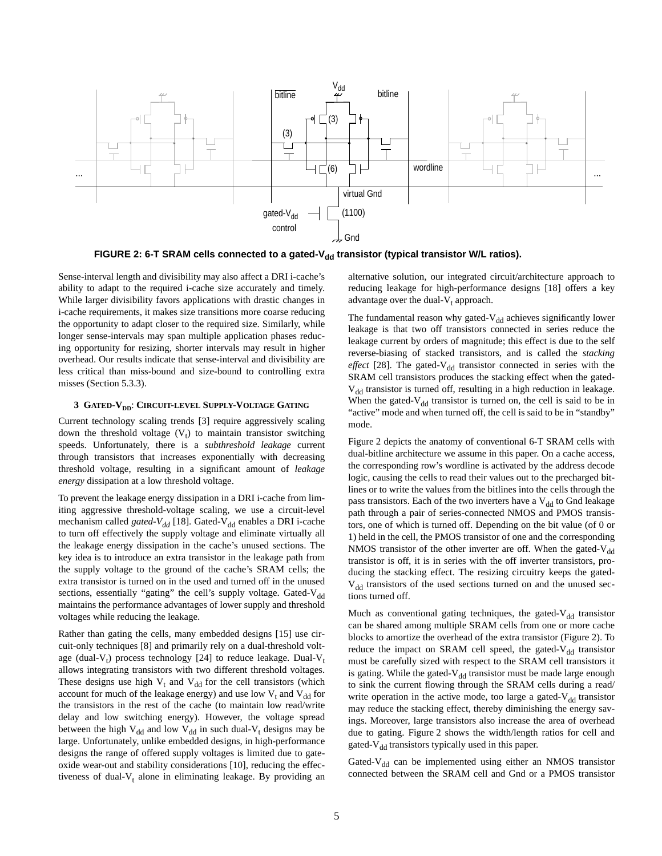

<span id="page-4-1"></span>FIGURE 2: 6-T SRAM cells connected to a gated-V<sub>dd</sub> transistor (typical transistor W/L ratios).

Sense-interval length and divisibility may also affect a DRI i-cache's ability to adapt to the required i-cache size accurately and timely. While larger divisibility favors applications with drastic changes in i-cache requirements, it makes size transitions more coarse reducing the opportunity to adapt closer to the required size. Similarly, while longer sense-intervals may span multiple application phases reducing opportunity for resizing, shorter intervals may result in higher overhead. Our results indicate that sense-interval and divisibility are less critical than miss-bound and size-bound to controlling extra misses [\(Section 5.3.3](#page-10-1)).

## **3 GATED-V<sub>DD</sub>: CIRCUIT-LEVEL SUPPLY-VOLTAGE GATING**

<span id="page-4-0"></span>Current technology scaling trends [3] require aggressively scaling down the threshold voltage  $(V_t)$  to maintain transistor switching speeds. Unfortunately, there is a *subthreshold leakage* current through transistors that increases exponentially with decreasing threshold voltage, resulting in a significant amount of *leakage energy* dissipation at a low threshold voltage.

To prevent the leakage energy dissipation in a DRI i-cache from limiting aggressive threshold-voltage scaling, we use a circuit-level mechanism called *gated-V<sub>dd</sub>* [18]. Gated-V<sub>dd</sub> enables a DRI i-cache to turn off effectively the supply voltage and eliminate virtually all the leakage energy dissipation in the cache's unused sections. The key idea is to introduce an extra transistor in the leakage path from the supply voltage to the ground of the cache's SRAM cells; the extra transistor is turned on in the used and turned off in the unused sections, essentially "gating" the cell's supply voltage. Gated-V<sub>dd</sub> maintains the performance advantages of lower supply and threshold voltages while reducing the leakage.

Rather than gating the cells, many embedded designs [15] use circuit-only techniques [8] and primarily rely on a dual-threshold voltage (dual-V<sub>t</sub>) process technology [24] to reduce leakage. Dual-V<sub>t</sub> allows integrating transistors with two different threshold voltages. These designs use high  $V_t$  and  $V_{dd}$  for the cell transistors (which account for much of the leakage energy) and use low  $V_t$  and  $V_{dd}$  for the transistors in the rest of the cache (to maintain low read/write delay and low switching energy). However, the voltage spread between the high  $V_{dd}$  and low  $V_{dd}$  in such dual- $V_t$  designs may be large. Unfortunately, unlike embedded designs, in high-performance designs the range of offered supply voltages is limited due to gateoxide wear-out and stability considerations [10], reducing the effectiveness of dual- $V_t$  alone in eliminating leakage. By providing an alternative solution, our integrated circuit/architecture approach to reducing leakage for high-performance designs [18] offers a key advantage over the dual-V<sub>t</sub> approach.

The fundamental reason why gated- $V_{dd}$  achieves significantly lower leakage is that two off transistors connected in series reduce the leakage current by orders of magnitude; this effect is due to the self reverse-biasing of stacked transistors, and is called the *stacking effect* [28]. The gated- $V_{dd}$  transistor connected in series with the SRAM cell transistors produces the stacking effect when the gated- $V_{dd}$  transistor is turned off, resulting in a high reduction in leakage. When the gated- $V_{dd}$  transistor is turned on, the cell is said to be in "active" mode and when turned off, the cell is said to be in "standby" mode.

[Figure 2](#page-4-1) depicts the anatomy of conventional 6-T SRAM cells with dual-bitline architecture we assume in this paper. On a cache access, the corresponding row's wordline is activated by the address decode logic, causing the cells to read their values out to the precharged bitlines or to write the values from the bitlines into the cells through the pass transistors. Each of the two inverters have a  $V_{dd}$  to Gnd leakage path through a pair of series-connected NMOS and PMOS transistors, one of which is turned off. Depending on the bit value (of 0 or 1) held in the cell, the PMOS transistor of one and the corresponding NMOS transistor of the other inverter are off. When the gated- $V_{dd}$ transistor is off, it is in series with the off inverter transistors, producing the stacking effect. The resizing circuitry keeps the gated- $V_{dd}$  transistors of the used sections turned on and the unused sections turned off.

Much as conventional gating techniques, the gated- $V_{dd}$  transistor can be shared among multiple SRAM cells from one or more cache blocks to amortize the overhead of the extra transistor ([Figure 2\)](#page-4-1). To reduce the impact on SRAM cell speed, the gated- $V_{dd}$  transistor must be carefully sized with respect to the SRAM cell transistors it is gating. While the gated-V<sub>dd</sub> transistor must be made large enough to sink the current flowing through the SRAM cells during a read/ write operation in the active mode, too large a gated- $V_{dd}$  transistor may reduce the stacking effect, thereby diminishing the energy savings. Moreover, large transistors also increase the area of overhead due to gating. [Figure 2](#page-4-1) shows the width/length ratios for cell and gated-V<sub>dd</sub> transistors typically used in this paper.

Gated- $V_{dd}$  can be implemented using either an NMOS transistor connected between the SRAM cell and Gnd or a PMOS transistor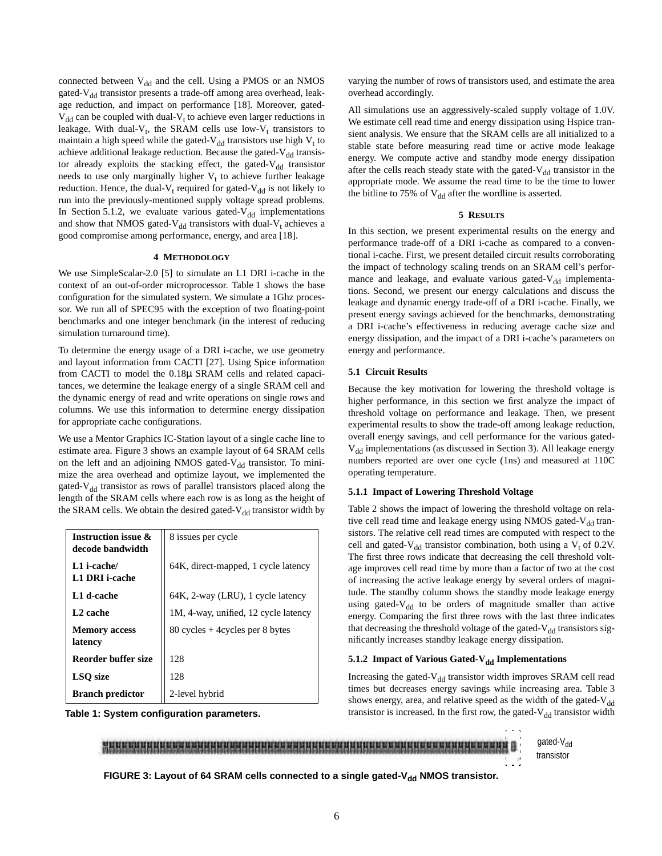connected between  $V_{dd}$  and the cell. Using a PMOS or an NMOS gated- $V_{dd}$  transistor presents a trade-off among area overhead, leakage reduction, and impact on performance [18]. Moreover, gated- $V_{dd}$  can be coupled with dual- $V_t$  to achieve even larger reductions in leakage. With dual-V<sub>t</sub>, the SRAM cells use low-V<sub>t</sub> transistors to maintain a high speed while the gated- $V_{dd}$  transistors use high  $V_t$  to achieve additional leakage reduction. Because the gated- $V_{dd}$  transistor already exploits the stacking effect, the gated- $V_{dd}$  transistor needs to use only marginally higher  $V_t$  to achieve further leakage reduction. Hence, the dual- $V_t$  required for gated- $V_{dd}$  is not likely to run into the previously-mentioned supply voltage spread problems. In [Section 5.1.2](#page-5-2), we evaluate various gated- $V_{dd}$  implementations and show that NMOS gated-V $_{dd}$  transistors with dual-V<sub>t</sub> achieves a good compromise among performance, energy, and area [18].

## **4 METHODOLOGY**

<span id="page-5-0"></span>We use SimpleScalar-2.0 [5] to simulate an L1 DRI i-cache in the context of an out-of-order microprocessor. [Table 1](#page-5-3) shows the base configuration for the simulated system. We simulate a 1Ghz processor. We run all of SPEC95 with the exception of two floating-point benchmarks and one integer benchmark (in the interest of reducing simulation turnaround time).

To determine the energy usage of a DRI i-cache, we use geometry and layout information from CACTI [27]. Using Spice information from CACTI to model the 0.18µ SRAM cells and related capacitances, we determine the leakage energy of a single SRAM cell and the dynamic energy of read and write operations on single rows and columns. We use this information to determine energy dissipation for appropriate cache configurations.

We use a Mentor Graphics IC-Station layout of a single cache line to estimate area. [Figure 3](#page-5-4) shows an example layout of 64 SRAM cells on the left and an adjoining NMOS gated- $V_{dd}$  transistor. To minimize the area overhead and optimize layout, we implemented the gated- $V_{dd}$  transistor as rows of parallel transistors placed along the length of the SRAM cells where each row is as long as the height of the SRAM cells. We obtain the desired gated- $V_{dd}$  transistor width by

| <b>Instruction issue &amp;</b> | 8 issues per cycle                   |
|--------------------------------|--------------------------------------|
| decode bandwidth               |                                      |
|                                |                                      |
| L1 i-cache/                    | 64K, direct-mapped, 1 cycle latency  |
| <b>L1 DRI i-cache</b>          |                                      |
|                                |                                      |
| L1 d-cache                     | 64K, 2-way (LRU), 1 cycle latency    |
| L <sub>2</sub> cache           | 1M, 4-way, unified, 12 cycle latency |
|                                |                                      |
| <b>Memory access</b>           | $80$ cycles + 4 cycles per 8 bytes   |
| latency                        |                                      |
|                                |                                      |
| <b>Reorder buffer size</b>     | 128                                  |
| <b>LSO</b> size                | 128                                  |
|                                |                                      |
| <b>Branch predictor</b>        | 2-level hybrid                       |

<span id="page-5-3"></span>**Table 1: System configuration parameters.**

varying the number of rows of transistors used, and estimate the area overhead accordingly.

All simulations use an aggressively-scaled supply voltage of 1.0V. We estimate cell read time and energy dissipation using Hspice transient analysis. We ensure that the SRAM cells are all initialized to a stable state before measuring read time or active mode leakage energy. We compute active and standby mode energy dissipation after the cells reach steady state with the gated- $V_{dd}$  transistor in the appropriate mode. We assume the read time to be the time to lower the bitline to 75% of  $V_{dd}$  after the wordline is asserted.

## **5 RESULTS**

<span id="page-5-1"></span>In this section, we present experimental results on the energy and performance trade-off of a DRI i-cache as compared to a conventional i-cache. First, we present detailed circuit results corroborating the impact of technology scaling trends on an SRAM cell's performance and leakage, and evaluate various gated-V<sub>dd</sub> implementations. Second, we present our energy calculations and discuss the leakage and dynamic energy trade-off of a DRI i-cache. Finally, we present energy savings achieved for the benchmarks, demonstrating a DRI i-cache's effectiveness in reducing average cache size and energy dissipation, and the impact of a DRI i-cache's parameters on energy and performance.

# **5.1 Circuit Results**

Because the key motivation for lowering the threshold voltage is higher performance, in this section we first analyze the impact of threshold voltage on performance and leakage. Then, we present experimental results to show the trade-off among leakage reduction, overall energy savings, and cell performance for the various gated- $V_{dd}$  implementations (as discussed in [Section 3](#page-4-0)). All leakage energy numbers reported are over one cycle (1ns) and measured at 110C operating temperature.

## **5.1.1 Impact of Lowering Threshold Voltage**

[Table 2](#page-6-0) shows the impact of lowering the threshold voltage on relative cell read time and leakage energy using NMOS gated-V<sub>dd</sub> transistors. The relative cell read times are computed with respect to the cell and gated-V $_{dd}$  transistor combination, both using a V<sub>t</sub> of 0.2V. The first three rows indicate that decreasing the cell threshold voltage improves cell read time by more than a factor of two at the cost of increasing the active leakage energy by several orders of magnitude. The standby column shows the standby mode leakage energy using gated- $V_{dd}$  to be orders of magnitude smaller than active energy. Comparing the first three rows with the last three indicates that decreasing the threshold voltage of the gated-V<sub>dd</sub> transistors significantly increases standby leakage energy dissipation.

# <span id="page-5-2"></span>**5.1.2 Impact of Various Gated-V<sub>dd</sub> Implementations**

Increasing the gated-V<sub>dd</sub> transistor width improves SRAM cell read times but decreases energy savings while increasing area. [Table 3](#page-6-1) shows energy, area, and relative speed as the width of the gated-V<sub>dd</sub> transistor is increased. In the first row, the gated-V<sub>dd</sub> transistor width

<u> SAABBAHA ALAMA AHARAHA AHARAHA AHARAHA AHARAHA AHARAHA AHARAHA</u>

gated-V<sub>dd</sub> transistor

<span id="page-5-4"></span>FIGURE 3: Layout of 64 SRAM cells connected to a single gated-V<sub>dd</sub> NMOS transistor.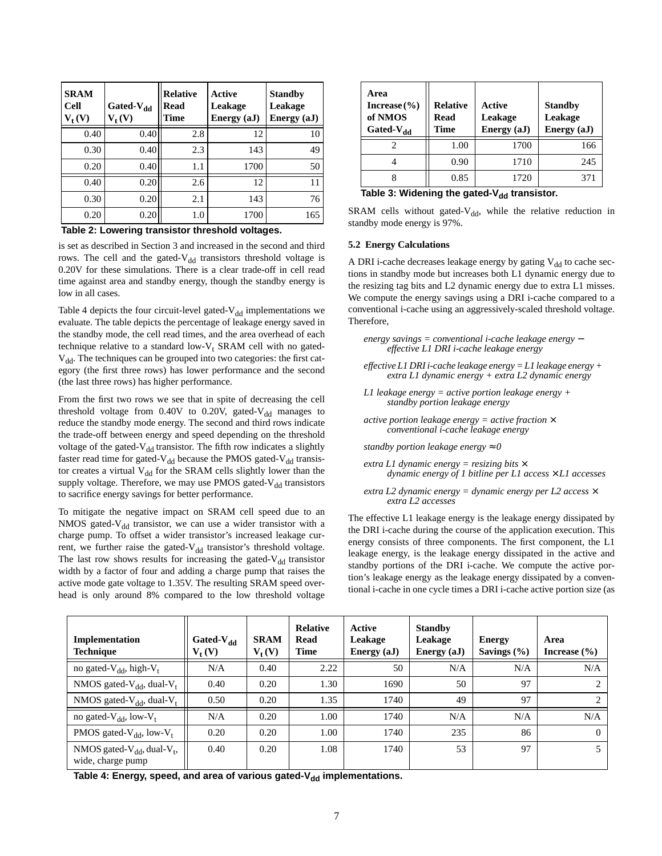| <b>SRAM</b><br><b>Cell</b><br>$V_t(V)$           | Gated- $V_{dd}$<br>$V_{t}(V)$ | <b>Relative</b><br>Read<br><b>Time</b> | Active<br>Leakage<br>Energy (aJ) | <b>Standby</b><br><b>Leakage</b><br>Energy (aJ) |  |  |
|--------------------------------------------------|-------------------------------|----------------------------------------|----------------------------------|-------------------------------------------------|--|--|
| 0.40                                             | 0.40                          | 2.8                                    | 12                               | 10                                              |  |  |
| 0.30                                             | 0.40                          | 2.3                                    | 143                              | 49                                              |  |  |
| 0.20                                             | 0.40                          | 1.1                                    | 1700                             | 50                                              |  |  |
| 0.40                                             | 0.20                          | 2.6                                    | 12                               | 11                                              |  |  |
| 0.30                                             | 0.20                          | 2.1                                    | 143                              | 76                                              |  |  |
| 0.20                                             | 0.20                          | 1.0                                    | 1700                             | 165                                             |  |  |
| Table 2: Lowering transistor threshold voltages. |                               |                                        |                                  |                                                 |  |  |

<span id="page-6-0"></span>is set as described in [Section 3](#page-4-0) and increased in the second and third rows. The cell and the gated- $V_{dd}$  transistors threshold voltage is 0.20V for these simulations. There is a clear trade-off in cell read time against area and standby energy, though the standby energy is low in all cases.

[Table 4](#page-6-2) depicts the four circuit-level gated- $V_{dd}$  implementations we evaluate. The table depicts the percentage of leakage energy saved in the standby mode, the cell read times, and the area overhead of each technique relative to a standard low- $V_t$  SRAM cell with no gated- $V_{dd}$ . The techniques can be grouped into two categories: the first category (the first three rows) has lower performance and the second (the last three rows) has higher performance.

From the first two rows we see that in spite of decreasing the cell threshold voltage from  $0.40V$  to  $0.20V$ , gated- $V_{dd}$  manages to reduce the standby mode energy. The second and third rows indicate the trade-off between energy and speed depending on the threshold voltage of the gated- $V_{dd}$  transistor. The fifth row indicates a slightly faster read time for gated- $V_{dd}$  because the PMOS gated- $V_{dd}$  transistor creates a virtual  $V_{dd}$  for the SRAM cells slightly lower than the supply voltage. Therefore, we may use PMOS gated- $V_{dd}$  transistors to sacrifice energy savings for better performance.

To mitigate the negative impact on SRAM cell speed due to an NMOS gated- $V_{dd}$  transistor, we can use a wider transistor with a charge pump. To offset a wider transistor's increased leakage current, we further raise the gated- $V_{dd}$  transistor's threshold voltage. The last row shows results for increasing the gated- $V_{dd}$  transistor width by a factor of four and adding a charge pump that raises the active mode gate voltage to 1.35V. The resulting SRAM speed overhead is only around 8% compared to the low threshold voltage

| Area<br>Increase $(\% )$<br>of NMOS<br>Gated-V <sub>dd</sub> | <b>Relative</b><br>Read<br>Time | <b>Active</b><br>Leakage<br>Energy (aJ) | <b>Standby</b><br>Leakage<br>Energy (aJ) |  |
|--------------------------------------------------------------|---------------------------------|-----------------------------------------|------------------------------------------|--|
|                                                              | 1.00                            | 1700                                    | 166                                      |  |
|                                                              | 0.90                            | 1710                                    | 245                                      |  |
|                                                              | 0.85                            | 1720                                    | 371                                      |  |

<span id="page-6-1"></span>Table 3: Widening the gated-V<sub>dd</sub> transistor.

SRAM cells without gated- $V_{dd}$ , while the relative reduction in standby mode energy is 97%.

## <span id="page-6-3"></span>**5.2 Energy Calculations**

A DRI i-cache decreases leakage energy by gating  $V_{dd}$  to cache sections in standby mode but increases both L1 dynamic energy due to the resizing tag bits and L2 dynamic energy due to extra L1 misses. We compute the energy savings using a DRI i-cache compared to a conventional i-cache using an aggressively-scaled threshold voltage. Therefore,

- *energy savings = conventional i-cache leakage energy* − *effective L1 DRI i-cache leakage energy*
- *effective L1 DRI i-cache leakage energy = L1 leakage energy + extra L1 dynamic energy + extra L2 dynamic energy*
- *L1 leakage energy = active portion leakage energy + standby portion leakage energy*
- *active portion leakage energy = active fraction* × *conventional i-cache leakage energy*
- *standby portion leakage energy* ≈ *0*
- *extra L1 dynamic energy = resizing bits* × *dynamic energy of 1 bitline per L1 access* × *L1 accesses*
- *extra L2 dynamic energy = dynamic energy per L2 access* × *extra L2 accesses*

The effective L1 leakage energy is the leakage energy dissipated by the DRI i-cache during the course of the application execution. This energy consists of three components. The first component, the L1 leakage energy, is the leakage energy dissipated in the active and standby portions of the DRI i-cache. We compute the active portion's leakage energy as the leakage energy dissipated by a conventional i-cache in one cycle times a DRI i-cache active portion size (as

| Implementation<br><b>Technique</b>                        | Gated- $V_{dd}$<br>$V_{t}(V)$ | <b>SRAM</b><br>$V_t(V)$ | <b>Relative</b><br>Read<br>Time | Active<br>Leakage<br>Energy (aJ) | <b>Standby</b><br>Leakage<br>Energy (aJ) | <b>Energy</b><br>Savings $(\% )$ | Area<br>Increase $(\% )$ |
|-----------------------------------------------------------|-------------------------------|-------------------------|---------------------------------|----------------------------------|------------------------------------------|----------------------------------|--------------------------|
| no gated- $V_{dd}$ , high- $V_t$                          | N/A                           | 0.40                    | 2.22                            | 50                               | N/A                                      | N/A                              | N/A                      |
| NMOS gated- $V_{dd}$ , dual- $V_t$                        | 0.40                          | 0.20                    | 1.30                            | 1690                             | 50                                       | 97                               |                          |
| NMOS gated- $V_{dd}$ , dual- $V_t$                        | 0.50                          | 0.20                    | 1.35                            | 1740                             | 49                                       | 97                               | ◠                        |
| no gated- $V_{dd}$ , low- $V_t$                           | N/A                           | 0.20                    | 1.00                            | 1740                             | N/A                                      | N/A                              | N/A                      |
| PMOS gated- $V_{dd}$ , low- $V_t$                         | 0.20                          | 0.20                    | 1.00                            | 1740                             | 235                                      | 86                               | $\Omega$                 |
| NMOS gated- $V_{dd}$ , dual- $V_t$ ,<br>wide, charge pump | 0.40                          | 0.20                    | 1.08                            | 1740                             | 53                                       | 97                               |                          |

<span id="page-6-2"></span>Table 4: Energy, speed, and area of various gated-V<sub>dd</sub> implementations.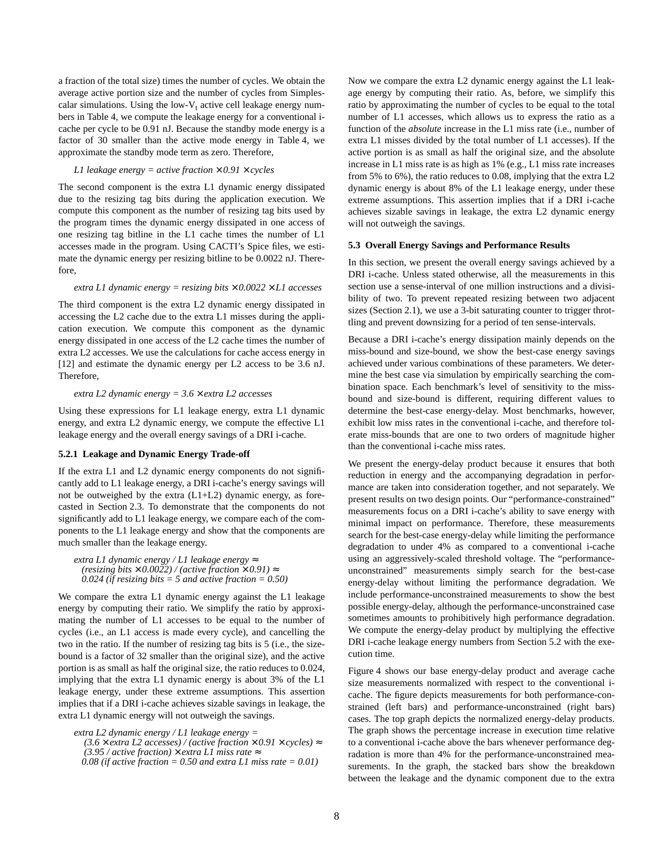a fraction of the total size) times the number of cycles. We obtain the average active portion size and the number of cycles from Simplescalar simulations. Using the low- $V_t$  active cell leakage energy numbers in [Table 4](#page-6-2), we compute the leakage energy for a conventional icache per cycle to be 0.91 nJ. Because the standby mode energy is a factor of 30 smaller than the active mode energy in [Table 4,](#page-6-2) we approximate the standby mode term as zero. Therefore,

## *L1 leakage energy = active fraction* × *0.91* × *cycles*

The second component is the extra L1 dynamic energy dissipated due to the resizing tag bits during the application execution. We compute this component as the number of resizing tag bits used by the program times the dynamic energy dissipated in one access of one resizing tag bitline in the L1 cache times the number of L1 accesses made in the program. Using CACTI's Spice files, we estimate the dynamic energy per resizing bitline to be 0.0022 nJ. Therefore,

```
extra L1 dynamic energy = resizing bits × 0.0022 × L1 accesses
```
The third component is the extra L2 dynamic energy dissipated in accessing the L2 cache due to the extra L1 misses during the application execution. We compute this component as the dynamic energy dissipated in one access of the L2 cache times the number of extra L2 accesses. We use the calculations for cache access energy in [12] and estimate the dynamic energy per L2 access to be 3.6 nJ. Therefore,

*extra L2 dynamic energy = 3.6* × *extra L2 accesses*

Using these expressions for L1 leakage energy, extra L1 dynamic energy, and extra L2 dynamic energy, we compute the effective L1 leakage energy and the overall energy savings of a DRI i-cache.

## <span id="page-7-0"></span>**5.2.1 Leakage and Dynamic Energy Trade-off**

If the extra L1 and L2 dynamic energy components do not significantly add to L1 leakage energy, a DRI i-cache's energy savings will not be outweighed by the extra  $(L1+L2)$  dynamic energy, as forecasted in [Section 2.3](#page-3-0). To demonstrate that the components do not significantly add to L1 leakage energy, we compare each of the components to the L1 leakage energy and show that the components are much smaller than the leakage energy.

```
extra L1 dynamic energy / L1 leakage energy ≈
(resizing bits \times 0.0022) / (active fraction \times 0.91) \approx0.024 (if resizing bits = 5 and active fraction = 0.50)
```
We compare the extra L1 dynamic energy against the L1 leakage energy by computing their ratio. We simplify the ratio by approximating the number of L1 accesses to be equal to the number of cycles (i.e., an L1 access is made every cycle), and cancelling the two in the ratio. If the number of resizing tag bits is 5 (i.e., the sizebound is a factor of 32 smaller than the original size), and the active portion is as small as half the original size, the ratio reduces to 0.024, implying that the extra L1 dynamic energy is about 3% of the L1 leakage energy, under these extreme assumptions. This assertion implies that if a DRI i-cache achieves sizable savings in leakage, the extra L1 dynamic energy will not outweigh the savings.

*extra L2 dynamic energy / L1 leakage energy =*  $(3.6 \times \text{extra L2 accesses}) / (active fraction \times 0.91 \times \text{cycles})$  *(3.95 / active fraction)* × *extra L1 miss rate* ≈ *0.08 (if active fraction = 0.50 and extra L1 miss rate = 0.01)*

Now we compare the extra L2 dynamic energy against the L1 leakage energy by computing their ratio. As, before, we simplify this ratio by approximating the number of cycles to be equal to the total number of L1 accesses, which allows us to express the ratio as a function of the *absolute* increase in the L1 miss rate (i.e., number of extra L1 misses divided by the total number of L1 accesses). If the active portion is as small as half the original size, and the absolute increase in L1 miss rate is as high as 1% (e.g., L1 miss rate increases from 5% to 6%), the ratio reduces to 0.08, implying that the extra L2 dynamic energy is about 8% of the L1 leakage energy, under these extreme assumptions. This assertion implies that if a DRI i-cache achieves sizable savings in leakage, the extra L2 dynamic energy will not outweigh the savings.

## <span id="page-7-1"></span>**5.3 Overall Energy Savings and Performance Results**

In this section, we present the overall energy savings achieved by a DRI i-cache. Unless stated otherwise, all the measurements in this section use a sense-interval of one million instructions and a divisibility of two. To prevent repeated resizing between two adjacent sizes [\(Section 2.1\)](#page-2-1), we use a 3-bit saturating counter to trigger throttling and prevent downsizing for a period of ten sense-intervals.

Because a DRI i-cache's energy dissipation mainly depends on the miss-bound and size-bound, we show the best-case energy savings achieved under various combinations of these parameters. We determine the best case via simulation by empirically searching the combination space. Each benchmark's level of sensitivity to the missbound and size-bound is different, requiring different values to determine the best-case energy-delay. Most benchmarks, however, exhibit low miss rates in the conventional i-cache, and therefore tolerate miss-bounds that are one to two orders of magnitude higher than the conventional i-cache miss rates.

We present the energy-delay product because it ensures that both reduction in energy and the accompanying degradation in performance are taken into consideration together, and not separately. We present results on two design points. Our "performance-constrained" measurements focus on a DRI i-cache's ability to save energy with minimal impact on performance. Therefore, these measurements search for the best-case energy-delay while limiting the performance degradation to under 4% as compared to a conventional i-cache using an aggressively-scaled threshold voltage. The "performanceunconstrained" measurements simply search for the best-case energy-delay without limiting the performance degradation. We include performance-unconstrained measurements to show the best possible energy-delay, although the performance-unconstrained case sometimes amounts to prohibitively high performance degradation. We compute the energy-delay product by multiplying the effective DRI i-cache leakage energy numbers from [Section 5.2](#page-6-3) with the execution time.

[Figure 4](#page-8-0) shows our base energy-delay product and average cache size measurements normalized with respect to the conventional icache. The figure depicts measurements for both performance-constrained (left bars) and performance-unconstrained (right bars) cases. The top graph depicts the normalized energy-delay products. The graph shows the percentage increase in execution time relative to a conventional i-cache above the bars whenever performance degradation is more than 4% for the performance-unconstrained measurements. In the graph, the stacked bars show the breakdown between the leakage and the dynamic component due to the extra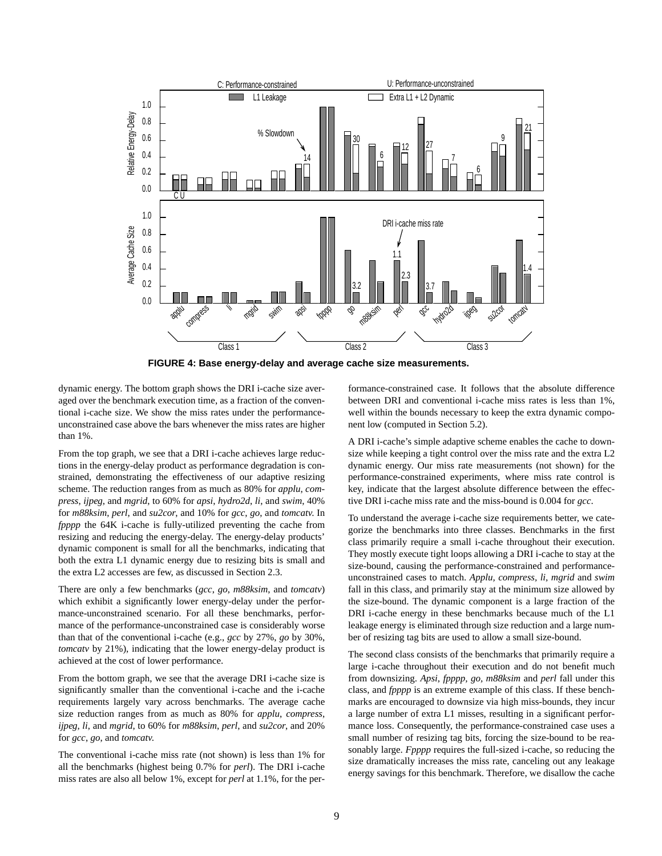

<span id="page-8-0"></span>**FIGURE 4: Base energy-delay and average cache size measurements.**

dynamic energy. The bottom graph shows the DRI i-cache size averaged over the benchmark execution time, as a fraction of the conventional i-cache size. We show the miss rates under the performanceunconstrained case above the bars whenever the miss rates are higher than 1%.

From the top graph, we see that a DRI i-cache achieves large reductions in the energy-delay product as performance degradation is constrained, demonstrating the effectiveness of our adaptive resizing scheme. The reduction ranges from as much as 80% for *applu*, *compress*, *ijpeg*, and *mgrid*, to 60% for *apsi*, *hydro2d*, *li*, and *swim*, 40% for *m88ksim*, *perl*, and *su2cor*, and 10% for *gcc*, *go*, and *tomcatv*. In *fpppp* the 64K *i*-cache is fully-utilized preventing the cache from resizing and reducing the energy-delay. The energy-delay products' dynamic component is small for all the benchmarks, indicating that both the extra L1 dynamic energy due to resizing bits is small and the extra L2 accesses are few, as discussed in [Section 2.3](#page-3-0).

There are only a few benchmarks (*gcc*, *go*, *m88ksim*, and *tomcatv*) which exhibit a significantly lower energy-delay under the performance-unconstrained scenario. For all these benchmarks, performance of the performance-unconstrained case is considerably worse than that of the conventional i-cache (e.g., *gcc* by 27%, *go* by 30%, *tomcatv* by 21%), indicating that the lower energy-delay product is achieved at the cost of lower performance.

From the bottom graph, we see that the average DRI i-cache size is significantly smaller than the conventional i-cache and the i-cache requirements largely vary across benchmarks. The average cache size reduction ranges from as much as 80% for *applu*, *compress*, *ijpeg*, *li*, and *mgrid*, to 60% for *m88ksim*, *perl*, and *su2cor*, and 20% for *gcc*, *go*, and *tomcatv*.

The conventional i-cache miss rate (not shown) is less than 1% for all the benchmarks (highest being 0.7% for *perl*). The DRI i-cache miss rates are also all below 1%, except for *perl* at 1.1%, for the per-

formance-constrained case. It follows that the absolute difference between DRI and conventional i-cache miss rates is less than 1%, well within the bounds necessary to keep the extra dynamic component low (computed in [Section 5.2\)](#page-6-3).

A DRI i-cache's simple adaptive scheme enables the cache to downsize while keeping a tight control over the miss rate and the extra L2 dynamic energy. Our miss rate measurements (not shown) for the performance-constrained experiments, where miss rate control is key, indicate that the largest absolute difference between the effective DRI i-cache miss rate and the miss-bound is 0.004 for *gcc*.

To understand the average i-cache size requirements better, we categorize the benchmarks into three classes. Benchmarks in the first class primarily require a small i-cache throughout their execution. They mostly execute tight loops allowing a DRI i-cache to stay at the size-bound, causing the performance-constrained and performanceunconstrained cases to match. *Applu, compress, li, mgrid* and *swim* fall in this class, and primarily stay at the minimum size allowed by the size-bound. The dynamic component is a large fraction of the DRI i-cache energy in these benchmarks because much of the L1 leakage energy is eliminated through size reduction and a large number of resizing tag bits are used to allow a small size-bound.

The second class consists of the benchmarks that primarily require a large i-cache throughout their execution and do not benefit much from downsizing. *Apsi*, *fpppp, go, m88ksim* and *perl* fall under this class, and *fpppp* is an extreme example of this class. If these benchmarks are encouraged to downsize via high miss-bounds, they incur a large number of extra L1 misses, resulting in a significant performance loss. Consequently, the performance-constrained case uses a small number of resizing tag bits, forcing the size-bound to be reasonably large. *Fpppp* requires the full-sized i-cache, so reducing the size dramatically increases the miss rate, canceling out any leakage energy savings for this benchmark. Therefore, we disallow the cache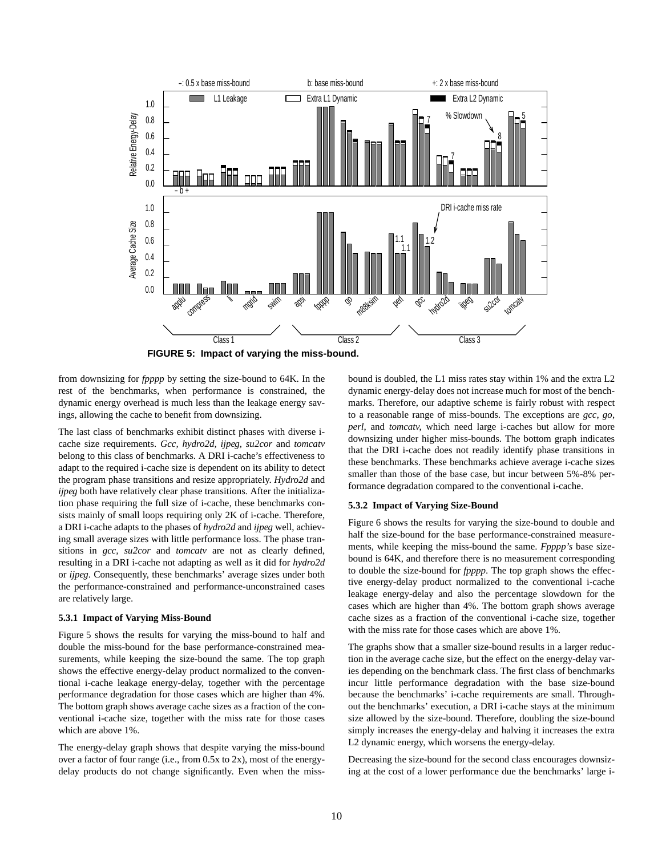

<span id="page-9-0"></span>from downsizing for *fpppp* by setting the size-bound to 64K. In the rest of the benchmarks, when performance is constrained, the dynamic energy overhead is much less than the leakage energy savings, allowing the cache to benefit from downsizing.

The last class of benchmarks exhibit distinct phases with diverse icache size requirements. *Gcc, hydro2d, ijpeg, su2cor* and *tomcatv* belong to this class of benchmarks. A DRI i-cache's effectiveness to adapt to the required i-cache size is dependent on its ability to detect the program phase transitions and resize appropriately. *Hydro2d* and *ijpeg* both have relatively clear phase transitions*.* After the initialization phase requiring the full size of i-cache, these benchmarks consists mainly of small loops requiring only 2K of i-cache. Therefore, a DRI i-cache adapts to the phases of *hydro2d* and *ijpeg* well, achieving small average sizes with little performance loss. The phase transitions in *gcc, su2cor* and *tomcatv* are not as clearly defined, resulting in a DRI i-cache not adapting as well as it did for *hydro2d* or *ijpeg*. Consequently, these benchmarks' average sizes under both the performance-constrained and performance-unconstrained cases are relatively large.

## **5.3.1 Impact of Varying Miss-Bound**

[Figure 5](#page-9-0) shows the results for varying the miss-bound to half and double the miss-bound for the base performance-constrained measurements, while keeping the size-bound the same. The top graph shows the effective energy-delay product normalized to the conventional i-cache leakage energy-delay, together with the percentage performance degradation for those cases which are higher than 4%. The bottom graph shows average cache sizes as a fraction of the conventional i-cache size, together with the miss rate for those cases which are above 1%.

The energy-delay graph shows that despite varying the miss-bound over a factor of four range (i.e., from 0.5x to 2x), most of the energydelay products do not change significantly. Even when the missbound is doubled, the L1 miss rates stay within 1% and the extra L2 dynamic energy-delay does not increase much for most of the benchmarks. Therefore, our adaptive scheme is fairly robust with respect to a reasonable range of miss-bounds. The exceptions are *gcc*, *go*, *perl*, and *tomcatv*, which need large i-caches but allow for more downsizing under higher miss-bounds. The bottom graph indicates that the DRI i-cache does not readily identify phase transitions in these benchmarks. These benchmarks achieve average i-cache sizes smaller than those of the base case, but incur between 5%-8% performance degradation compared to the conventional i-cache.

#### **5.3.2 Impact of Varying Size-Bound**

[Figure 6](#page-10-2) shows the results for varying the size-bound to double and half the size-bound for the base performance-constrained measurements, while keeping the miss-bound the same. *Fpppp's* base sizebound is 64K, and therefore there is no measurement corresponding to double the size-bound for *fpppp*. The top graph shows the effective energy-delay product normalized to the conventional i-cache leakage energy-delay and also the percentage slowdown for the cases which are higher than 4%. The bottom graph shows average cache sizes as a fraction of the conventional i-cache size, together with the miss rate for those cases which are above 1%.

The graphs show that a smaller size-bound results in a larger reduction in the average cache size, but the effect on the energy-delay varies depending on the benchmark class. The first class of benchmarks incur little performance degradation with the base size-bound because the benchmarks' i-cache requirements are small. Throughout the benchmarks' execution, a DRI i-cache stays at the minimum size allowed by the size-bound. Therefore, doubling the size-bound simply increases the energy-delay and halving it increases the extra L2 dynamic energy, which worsens the energy-delay.

Decreasing the size-bound for the second class encourages downsizing at the cost of a lower performance due the benchmarks' large i-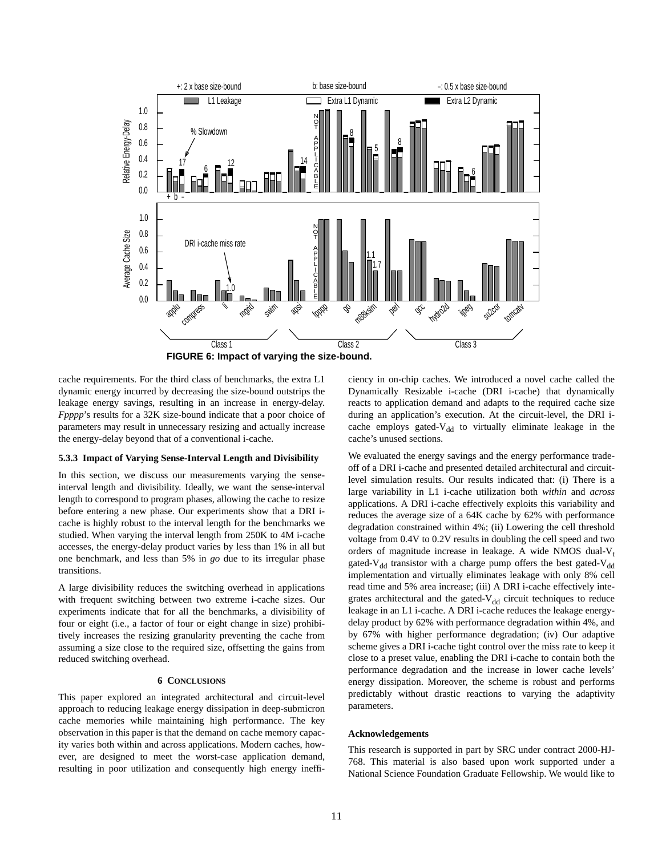

<span id="page-10-2"></span>cache requirements. For the third class of benchmarks, the extra L1 dynamic energy incurred by decreasing the size-bound outstrips the leakage energy savings, resulting in an increase in energy-delay. *Fpppp*'s results for a 32K size-bound indicate that a poor choice of parameters may result in unnecessary resizing and actually increase the energy-delay beyond that of a conventional i-cache.

#### <span id="page-10-1"></span>**5.3.3 Impact of Varying Sense-Interval Length and Divisibility**

In this section, we discuss our measurements varying the senseinterval length and divisibility. Ideally, we want the sense-interval length to correspond to program phases, allowing the cache to resize before entering a new phase. Our experiments show that a DRI icache is highly robust to the interval length for the benchmarks we studied. When varying the interval length from 250K to 4M i-cache accesses, the energy-delay product varies by less than 1% in all but one benchmark, and less than 5% in *go* due to its irregular phase transitions.

A large divisibility reduces the switching overhead in applications with frequent switching between two extreme i-cache sizes. Our experiments indicate that for all the benchmarks, a divisibility of four or eight (i.e., a factor of four or eight change in size) prohibitively increases the resizing granularity preventing the cache from assuming a size close to the required size, offsetting the gains from reduced switching overhead.

#### **6 CONCLUSIONS**

<span id="page-10-0"></span>This paper explored an integrated architectural and circuit-level approach to reducing leakage energy dissipation in deep-submicron cache memories while maintaining high performance. The key observation in this paper is that the demand on cache memory capacity varies both within and across applications. Modern caches, however, are designed to meet the worst-case application demand, resulting in poor utilization and consequently high energy inefficiency in on-chip caches. We introduced a novel cache called the Dynamically Resizable i-cache (DRI i-cache) that dynamically reacts to application demand and adapts to the required cache size during an application's execution. At the circuit-level, the DRI icache employs gated- $V_{dd}$  to virtually eliminate leakage in the cache's unused sections.

We evaluated the energy savings and the energy performance tradeoff of a DRI i-cache and presented detailed architectural and circuitlevel simulation results. Our results indicated that: (i) There is a large variability in L1 i-cache utilization both *within* and *across* applications. A DRI i-cache effectively exploits this variability and reduces the average size of a 64K cache by 62% with performance degradation constrained within 4%; (ii) Lowering the cell threshold voltage from 0.4V to 0.2V results in doubling the cell speed and two orders of magnitude increase in leakage. A wide NMOS dual- $V_t$ gated-V<sub>dd</sub> transistor with a charge pump offers the best gated-V<sub>dd</sub> implementation and virtually eliminates leakage with only 8% cell read time and 5% area increase; (iii) A DRI i-cache effectively integrates architectural and the gated-V<sub>dd</sub> circuit techniques to reduce leakage in an L1 i-cache. A DRI i-cache reduces the leakage energydelay product by 62% with performance degradation within 4%, and by 67% with higher performance degradation; (iv) Our adaptive scheme gives a DRI i-cache tight control over the miss rate to keep it close to a preset value, enabling the DRI i-cache to contain both the performance degradation and the increase in lower cache levels' energy dissipation. Moreover, the scheme is robust and performs predictably without drastic reactions to varying the adaptivity parameters.

#### **Acknowledgements**

This research is supported in part by SRC under contract 2000-HJ-768. This material is also based upon work supported under a National Science Foundation Graduate Fellowship. We would like to